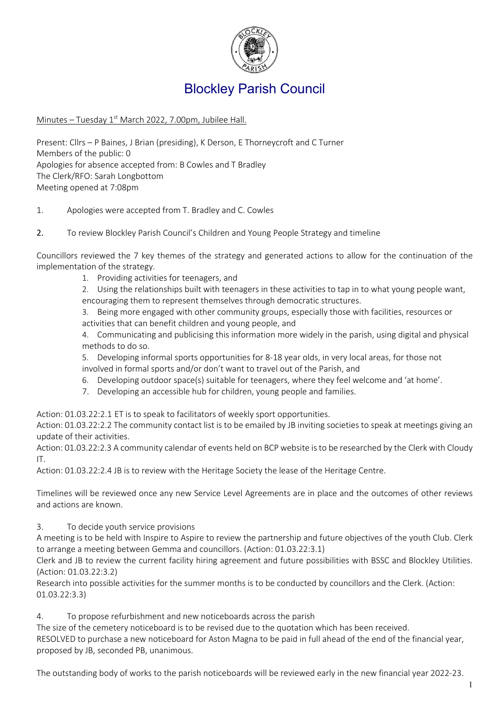

## Blockley Parish Council

## Minutes - Tuesday 1<sup>st</sup> March 2022, 7.00pm, Jubilee Hall.

Present: Cllrs – P Baines, J Brian (presiding), K Derson, E Thorneycroft and C Turner Members of the public: 0 Apologies for absence accepted from: B Cowles and T Bradley The Clerk/RFO: Sarah Longbottom Meeting opened at 7:08pm

- 1. Apologies were accepted from T. Bradley and C. Cowles
- 2. To review Blockley Parish Council's Children and Young People Strategy and timeline

Councillors reviewed the 7 key themes of the strategy and generated actions to allow for the continuation of the implementation of the strategy.

1. Providing activities for teenagers, and

2. Using the relationships built with teenagers in these activities to tap in to what young people want, encouraging them to represent themselves through democratic structures.

- 3. Being more engaged with other community groups, especially those with facilities, resources or
- activities that can benefit children and young people, and

4. Communicating and publicising this information more widely in the parish, using digital and physical methods to do so.

5. Developing informal sports opportunities for 8-18 year olds, in very local areas, for those not involved in formal sports and/or don't want to travel out of the Parish, and

- 6. Developing outdoor space(s) suitable for teenagers, where they feel welcome and 'at home'.
- 7. Developing an accessible hub for children, young people and families.

Action: 01.03.22:2.1 ET is to speak to facilitators of weekly sport opportunities.

Action: 01.03.22:2.2 The community contact list is to be emailed by JB inviting societies to speak at meetings giving an update of their activities.

Action: 01.03.22:2.3 A community calendar of events held on BCP website is to be researched by the Clerk with Cloudy IT.

Action: 01.03.22:2.4 JB is to review with the Heritage Society the lease of the Heritage Centre.

Timelines will be reviewed once any new Service Level Agreements are in place and the outcomes of other reviews and actions are known.

3. To decide youth service provisions

A meeting is to be held with Inspire to Aspire to review the partnership and future objectives of the youth Club. Clerk to arrange a meeting between Gemma and councillors. (Action: 01.03.22:3.1)

Clerk and JB to review the current facility hiring agreement and future possibilities with BSSC and Blockley Utilities. (Action: 01.03.22:3.2)

Research into possible activities for the summer months is to be conducted by councillors and the Clerk. (Action: 01.03.22:3.3)

4. To propose refurbishment and new noticeboards across the parish

The size of the cemetery noticeboard is to be revised due to the quotation which has been received. RESOLVED to purchase a new noticeboard for Aston Magna to be paid in full ahead of the end of the financial year, proposed by JB, seconded PB, unanimous.

The outstanding body of works to the parish noticeboards will be reviewed early in the new financial year 2022-23.